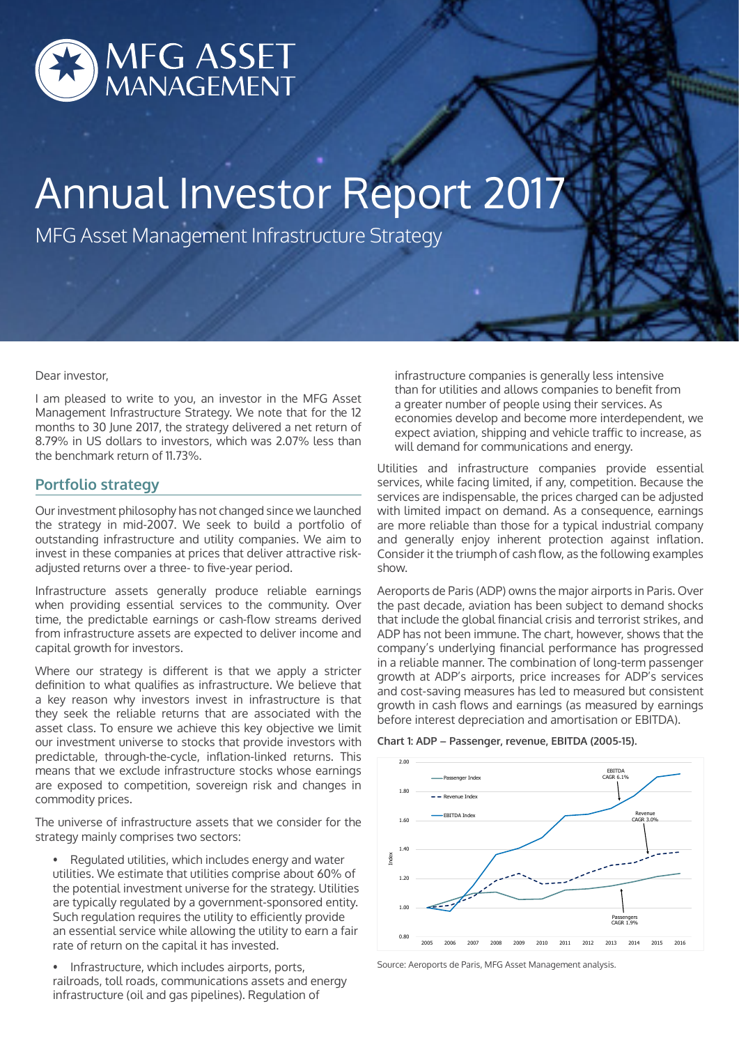

# Annual Investor Report 2017

MFG Asset Management Infrastructure Strategy

#### Dear investor,

I am pleased to write to you, an investor in the MFG Asset Management Infrastructure Strategy. We note that for the 12 months to 30 June 2017, the strategy delivered a net return of 8.79% in US dollars to investors, which was 2.07% less than the benchmark return of 11.73%.

## **Portfolio strategy**

Our investment philosophy has not changed since we launched the strategy in mid-2007. We seek to build a portfolio of outstanding infrastructure and utility companies. We aim to invest in these companies at prices that deliver attractive riskadjusted returns over a three- to five-year period.

Infrastructure assets generally produce reliable earnings when providing essential services to the community. Over time, the predictable earnings or cash-flow streams derived from infrastructure assets are expected to deliver income and capital growth for investors.

Where our strategy is different is that we apply a stricter definition to what qualifies as infrastructure. We believe that a key reason why investors invest in infrastructure is that they seek the reliable returns that are associated with the asset class. To ensure we achieve this key objective we limit our investment universe to stocks that provide investors with predictable, through-the-cycle, inflation-linked returns. This means that we exclude infrastructure stocks whose earnings are exposed to competition, sovereign risk and changes in commodity prices.

The universe of infrastructure assets that we consider for the strategy mainly comprises two sectors:

- Regulated utilities, which includes energy and water utilities. We estimate that utilities comprise about 60% of the potential investment universe for the strategy. Utilities are typically regulated by a government-sponsored entity. Such regulation requires the utility to efficiently provide an essential service while allowing the utility to earn a fair rate of return on the capital it has invested.
- Infrastructure, which includes airports, ports, railroads, toll roads, communications assets and energy infrastructure (oil and gas pipelines). Regulation of

infrastructure companies is generally less intensive than for utilities and allows companies to benefit from a greater number of people using their services. As economies develop and become more interdependent, we expect aviation, shipping and vehicle traffic to increase, as will demand for communications and energy.

Utilities and infrastructure companies provide essential services, while facing limited, if any, competition. Because the services are indispensable, the prices charged can be adjusted with limited impact on demand. As a consequence, earnings are more reliable than those for a typical industrial company and generally enjoy inherent protection against inflation. Consider it the triumph of cash flow, as the following examples show.

Aeroports de Paris (ADP) owns the major airports in Paris. Over the past decade, aviation has been subject to demand shocks that include the global financial crisis and terrorist strikes, and ADP has not been immune. The chart, however, shows that the company's underlying financial performance has progressed in a reliable manner. The combination of long-term passenger growth at ADP's airports, price increases for ADP's services and cost-saving measures has led to measured but consistent growth in cash flows and earnings (as measured by earnings before interest depreciation and amortisation or EBITDA).





Source: Aeroports de Paris, MFG Asset Management analysis.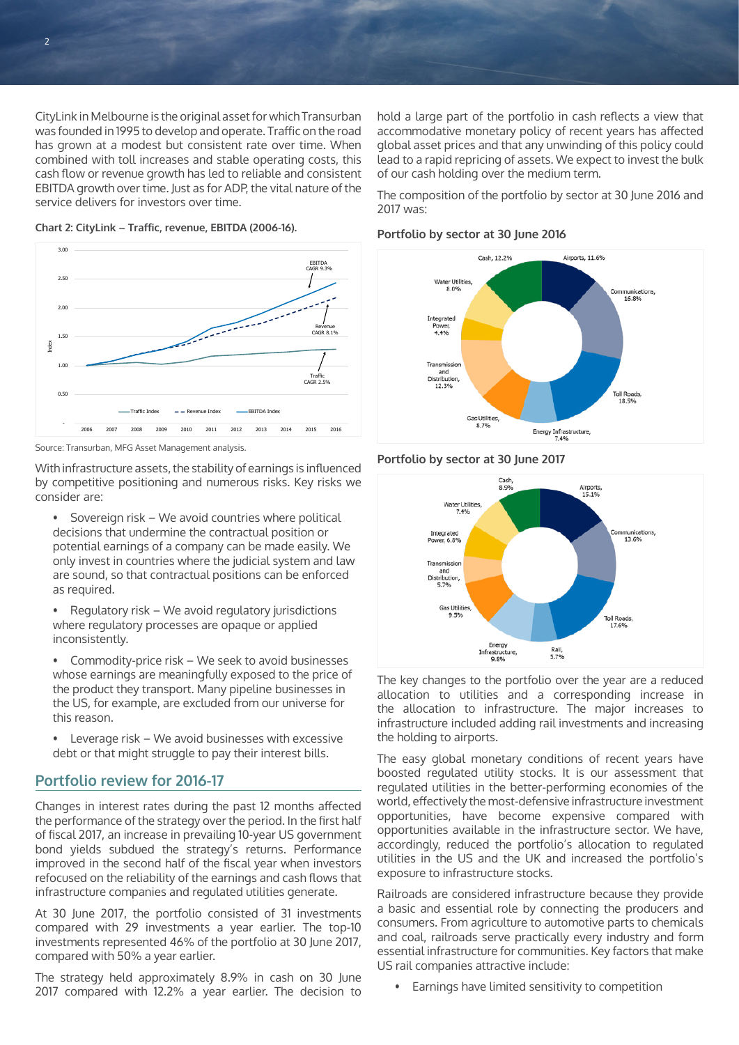CityLink in Melbourne is the original asset for which Transurban was founded in 1995 to develop and operate. Traffic on the road has grown at a modest but consistent rate over time. When combined with toll increases and stable operating costs, this cash flow or revenue growth has led to reliable and consistent EBITDA growth over time. Just as for ADP, the vital nature of the service delivers for investors over time.



**Chart 2: CityLink – Traffic, revenue, EBITDA (2006-16).**

Source: Transurban, MFG Asset Management analysis.

With infrastructure assets, the stability of earnings is influenced by competitive positioning and numerous risks. Key risks we consider are:

- Sovereign risk We avoid countries where political decisions that undermine the contractual position or potential earnings of a company can be made easily. We only invest in countries where the judicial system and law are sound, so that contractual positions can be enforced as required.
- Regulatory risk We avoid regulatory jurisdictions where regulatory processes are opaque or applied inconsistently.
- Commodity-price risk We seek to avoid businesses whose earnings are meaningfully exposed to the price of the product they transport. Many pipeline businesses in the US, for example, are excluded from our universe for this reason.
- Leverage risk We avoid businesses with excessive debt or that might struggle to pay their interest bills.

# **Portfolio review for 2016-17**

Changes in interest rates during the past 12 months affected the performance of the strategy over the period. In the first half of fiscal 2017, an increase in prevailing 10-year US government bond yields subdued the strategy's returns. Performance improved in the second half of the fiscal year when investors refocused on the reliability of the earnings and cash flows that infrastructure companies and regulated utilities generate.

At 30 June 2017, the portfolio consisted of 31 investments compared with 29 investments a year earlier. The top-10 investments represented 46% of the portfolio at 30 June 2017, compared with 50% a year earlier.

The strategy held approximately 8.9% in cash on 30 June 2017 compared with 12.2% a year earlier. The decision to

hold a large part of the portfolio in cash reflects a view that accommodative monetary policy of recent years has affected global asset prices and that any unwinding of this policy could lead to a rapid repricing of assets. We expect to invest the bulk of our cash holding over the medium term.

The composition of the portfolio by sector at 30 June 2016 and 2017 was:

### **Portfolio by sector at 30 June 2016**



#### **Portfolio by sector at 30 June 2017**



The key changes to the portfolio over the year are a reduced allocation to utilities and a corresponding increase in the allocation to infrastructure. The major increases to infrastructure included adding rail investments and increasing the holding to airports.

The easy global monetary conditions of recent years have boosted regulated utility stocks. It is our assessment that regulated utilities in the better-performing economies of the world, effectively the most-defensive infrastructure investment opportunities, have become expensive compared with opportunities available in the infrastructure sector. We have, accordingly, reduced the portfolio's allocation to regulated utilities in the US and the UK and increased the portfolio's exposure to infrastructure stocks.

Railroads are considered infrastructure because they provide a basic and essential role by connecting the producers and consumers. From agriculture to automotive parts to chemicals and coal, railroads serve practically every industry and form essential infrastructure for communities. Key factors that make US rail companies attractive include:

• Earnings have limited sensitivity to competition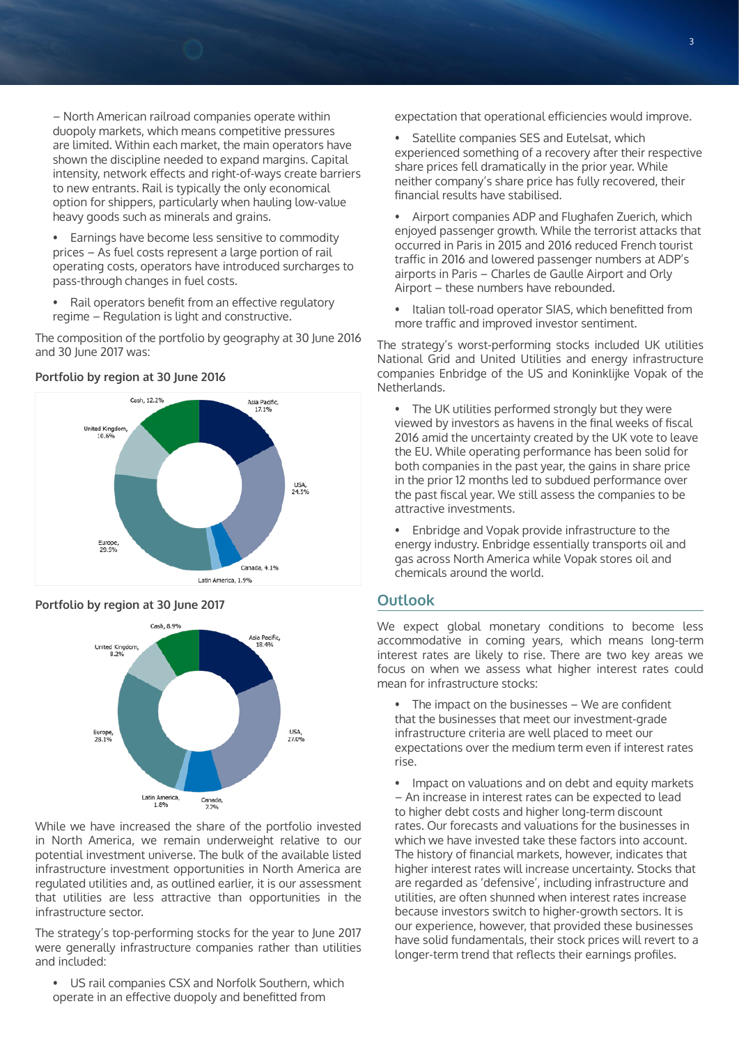– North American railroad companies operate within duopoly markets, which means competitive pressures are limited. Within each market, the main operators have shown the discipline needed to expand margins. Capital intensity, network effects and right-of-ways create barriers to new entrants. Rail is typically the only economical option for shippers, particularly when hauling low-value heavy goods such as minerals and grains.

- Earnings have become less sensitive to commodity prices – As fuel costs represent a large portion of rail operating costs, operators have introduced surcharges to pass-through changes in fuel costs.
- Rail operators benefit from an effective regulatory regime – Regulation is light and constructive.

The composition of the portfolio by geography at 30 June 2016 and 30 June 2017 was:



## **Portfolio by region at 30 June 2016**

## **Portfolio by region at 30 June 2017**



While we have increased the share of the portfolio invested in North America, we remain underweight relative to our potential investment universe. The bulk of the available listed infrastructure investment opportunities in North America are regulated utilities and, as outlined earlier, it is our assessment that utilities are less attractive than opportunities in the infrastructure sector.

The strategy's top-performing stocks for the year to June 2017 were generally infrastructure companies rather than utilities and included:

• US rail companies CSX and Norfolk Southern, which operate in an effective duopoly and benefitted from

expectation that operational efficiencies would improve.

- Satellite companies SES and Eutelsat, which experienced something of a recovery after their respective share prices fell dramatically in the prior year. While neither company's share price has fully recovered, their financial results have stabilised.
- Airport companies ADP and Flughafen Zuerich, which enjoyed passenger growth. While the terrorist attacks that occurred in Paris in 2015 and 2016 reduced French tourist traffic in 2016 and lowered passenger numbers at ADP's airports in Paris – Charles de Gaulle Airport and Orly Airport – these numbers have rebounded.
- Italian toll-road operator SIAS, which benefitted from more traffic and improved investor sentiment.

The strategy's worst-performing stocks included UK utilities National Grid and United Utilities and energy infrastructure companies Enbridge of the US and Koninklijke Vopak of the Netherlands.

- The UK utilities performed strongly but they were viewed by investors as havens in the final weeks of fiscal 2016 amid the uncertainty created by the UK vote to leave the EU. While operating performance has been solid for both companies in the past year, the gains in share price in the prior 12 months led to subdued performance over the past fiscal year. We still assess the companies to be attractive investments.
- Enbridge and Vopak provide infrastructure to the energy industry. Enbridge essentially transports oil and gas across North America while Vopak stores oil and chemicals around the world.

## **Outlook**

We expect global monetary conditions to become less accommodative in coming years, which means long-term interest rates are likely to rise. There are two key areas we focus on when we assess what higher interest rates could mean for infrastructure stocks:

• The impact on the businesses – We are confident that the businesses that meet our investment-grade infrastructure criteria are well placed to meet our expectations over the medium term even if interest rates rise.

• Impact on valuations and on debt and equity markets – An increase in interest rates can be expected to lead to higher debt costs and higher long-term discount rates. Our forecasts and valuations for the businesses in which we have invested take these factors into account. The history of financial markets, however, indicates that higher interest rates will increase uncertainty. Stocks that are regarded as 'defensive', including infrastructure and utilities, are often shunned when interest rates increase because investors switch to higher-growth sectors. It is our experience, however, that provided these businesses have solid fundamentals, their stock prices will revert to a longer-term trend that reflects their earnings profiles.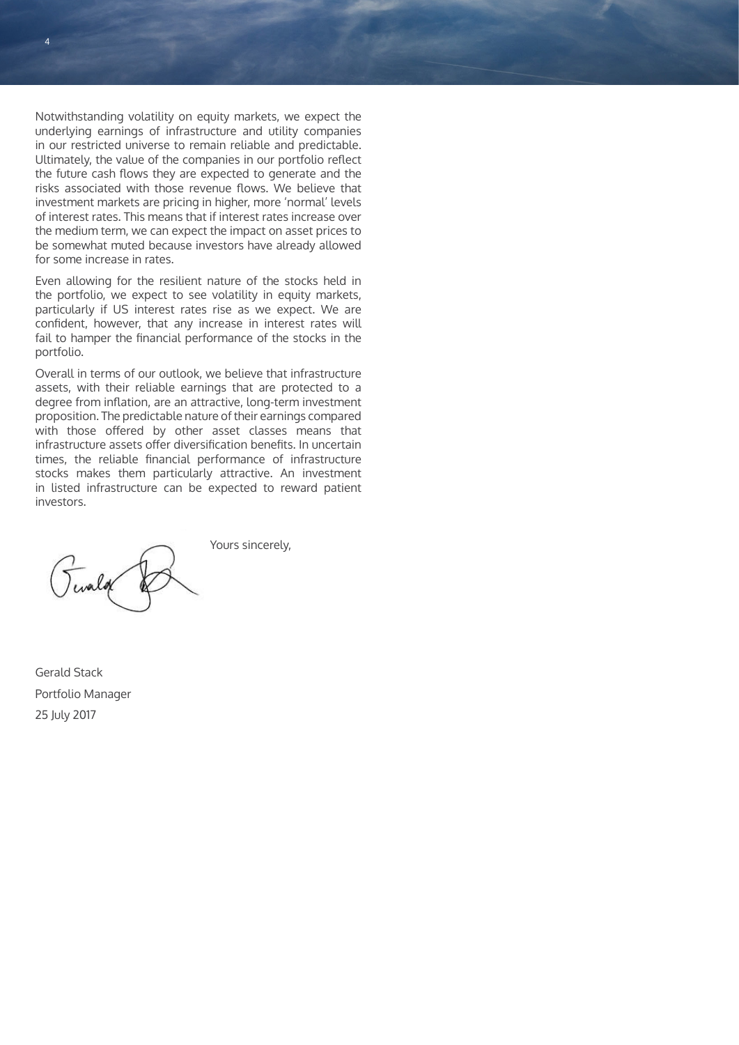Notwithstanding volatility on equity markets, we expect the underlying earnings of infrastructure and utility companies in our restricted universe to remain reliable and predictable. Ultimately, the value of the companies in our portfolio reflect the future cash flows they are expected to generate and the risks associated with those revenue flows. We believe that investment markets are pricing in higher, more 'normal' levels of interest rates. This means that if interest rates increase over the medium term, we can expect the impact on asset prices to be somewhat muted because investors have already allowed for some increase in rates.

Even allowing for the resilient nature of the stocks held in the portfolio, we expect to see volatility in equity markets, particularly if US interest rates rise as we expect. We are confident, however, that any increase in interest rates will fail to hamper the financial performance of the stocks in the portfolio.

Overall in terms of our outlook, we believe that infrastructure assets, with their reliable earnings that are protected to a degree from inflation, are an attractive, long-term investment proposition. The predictable nature of their earnings compared with those offered by other asset classes means that infrastructure assets offer diversification benefits. In uncertain times, the reliable financial performance of infrastructure stocks makes them particularly attractive. An investment in listed infrastructure can be expected to reward patient investors.

Yours sincerely,

Gerald Stack Portfolio Manager 25 July 2017